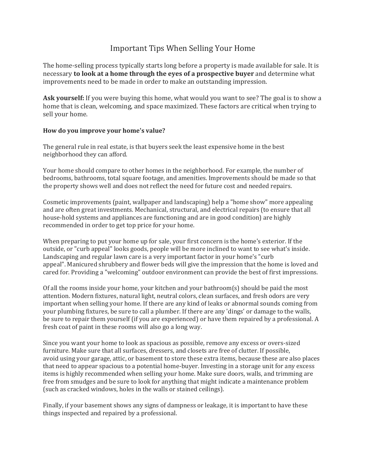## Important Tips When Selling Your Home

The home-selling process typically starts long before a property is made available for sale. It is necessary **to look at a home through the eyes of a prospective buyer** and determine what improvements need to be made in order to make an outstanding impression.

**Ask yourself:** If you were buying this home, what would you want to see? The goal is to show a home that is clean, welcoming, and space maximized. These factors are critical when trying to sell your home.

## **How do you improve your home's value?**

The general rule in real estate, is that buyers seek the least expensive home in the best neighborhood they can afford.

Your home should compare to other homes in the neighborhood. For example, the number of bedrooms, bathrooms, total square footage, and amenities. Improvements should be made so that the property shows well and does not reflect the need for future cost and needed repairs.

Cosmetic improvements (paint, wallpaper and landscaping) help a "home show" more appealing and are often great investments. Mechanical, structural, and electrical repairs (to ensure that all house-hold systems and appliances are functioning and are in good condition) are highly recommended in order to get top price for your home.

When preparing to put your home up for sale, your first concern is the home's exterior. If the outside, or "curb appeal" looks goods, people will be more inclined to want to see what's inside. Landscaping and regular lawn care is a very important factor in your home's "curb appeal". Manicured shrubbery and flower beds will give the impression that the home is loved and cared for. Providing a "welcoming" outdoor environment can provide the best of first impressions.

Of all the rooms inside your home, your kitchen and your bathroom(s) should be paid the most attention. Modern fixtures, natural light, neutral colors, clean surfaces, and fresh odors are very important when selling your home. If there are any kind of leaks or abnormal sounds coming from your plumbing fixtures, be sure to call a plumber. If there are any 'dings' or damage to the walls, be sure to repair them yourself (if you are experienced) or have them repaired by a professional. A fresh coat of paint in these rooms will also go a long way.

Since you want your home to look as spacious as possible, remove any excess or overs-sized furniture. Make sure that all surfaces, dressers, and closets are free of clutter. If possible, avoid using your garage, attic, or basement to store these extra items, because these are also places that need to appear spacious to a potential home-buyer. Investing in a storage unit for any excess items is highly recommended when selling your home. Make sure doors, walls, and trimming are free from smudges and be sure to look for anything that might indicate a maintenance problem (such as cracked windows, holes in the walls or stained ceilings).

Finally, if your basement shows any signs of dampness or leakage, it is important to have these things inspected and repaired by a professional.